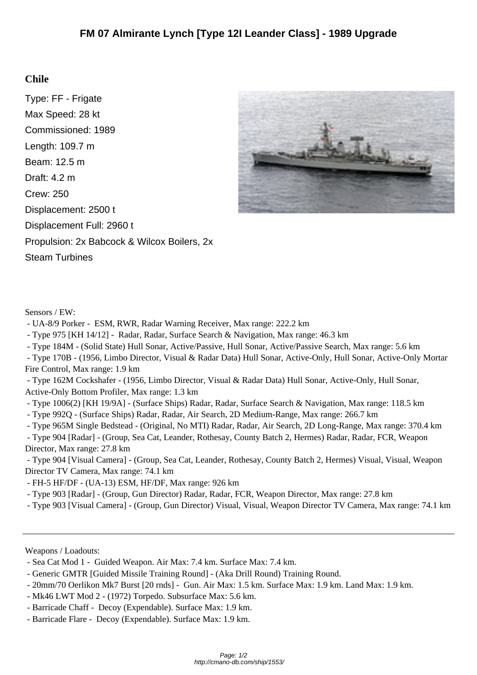## **Chile**

Type: FF - Frigate Max Speed: 28 kt Commissioned: 1989 Length: 109.7 m Beam: 12.5 m Draft: 4.2 m Crew: 250 Displacement: 2500 t Displacement Full: 2960 t Propulsion: 2x Babcock & Wilcox Boilers, 2x Steam Turbines



Sensors / EW:

- UA-8/9 Porker - ESM, RWR, Radar Warning Receiver, Max range: 222.2 km

- Type 975 [KH 14/12] - Radar, Radar, Surface Search & Navigation, Max range: 46.3 km

- Type 184M - (Solid State) Hull Sonar, Active/Passive, Hull Sonar, Active/Passive Search, Max range: 5.6 km

 - Type 170B - (1956, Limbo Director, Visual & Radar Data) Hull Sonar, Active-Only, Hull Sonar, Active-Only Mortar Fire Control, Max range: 1.9 km

 - Type 162M Cockshafer - (1956, Limbo Director, Visual & Radar Data) Hull Sonar, Active-Only, Hull Sonar, Active-Only Bottom Profiler, Max range: 1.3 km

- Type 1006(2) [KH 19/9A] - (Surface Ships) Radar, Radar, Surface Search & Navigation, Max range: 118.5 km

- Type 992Q - (Surface Ships) Radar, Radar, Air Search, 2D Medium-Range, Max range: 266.7 km

- Type 965M Single Bedstead - (Original, No MTI) Radar, Radar, Air Search, 2D Long-Range, Max range: 370.4 km

 - Type 904 [Radar] - (Group, Sea Cat, Leander, Rothesay, County Batch 2, Hermes) Radar, Radar, FCR, Weapon Director, Max range: 27.8 km

 - Type 904 [Visual Camera] - (Group, Sea Cat, Leander, Rothesay, County Batch 2, Hermes) Visual, Visual, Weapon Director TV Camera, Max range: 74.1 km

- FH-5 HF/DF - (UA-13) ESM, HF/DF, Max range: 926 km

- Type 903 [Radar] - (Group, Gun Director) Radar, Radar, FCR, Weapon Director, Max range: 27.8 km

- Type 903 [Visual Camera] - (Group, Gun Director) Visual, Visual, Weapon Director TV Camera, Max range: 74.1 km

Weapons / Loadouts:

- Sea Cat Mod 1 - Guided Weapon. Air Max: 7.4 km. Surface Max: 7.4 km.

- Mk46 LWT Mod 2 - (1972) Torpedo. Subsurface Max: 5.6 km.

- Barricade Chaff - Decoy (Expendable). Surface Max: 1.9 km.

- Barricade Flare - Decoy (Expendable). Surface Max: 1.9 km.

 <sup>-</sup> Generic GMTR [Guided Missile Training Round] - (Aka Drill Round) Training Round.

 <sup>- 20</sup>mm/70 Oerlikon Mk7 Burst [20 rnds] - Gun. Air Max: 1.5 km. Surface Max: 1.9 km. Land Max: 1.9 km.